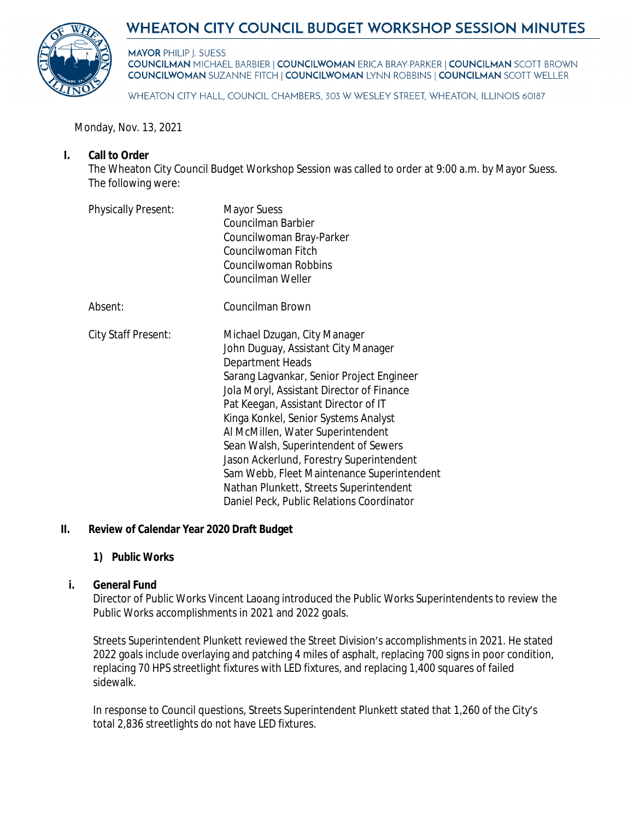

# **WHEATON CITY COUNCIL BUDGET WORKSHOP SESSION MINUTES**

**MAYOR PHILIP J. SUESS COUNCILMAN MICHAEL BARBIER | COUNCILWOMAN ERICA BRAY-PARKER | COUNCILMAN SCOTT BROWN COUNCILWOMAN SUZANNE FITCH | COUNCILWOMAN LYNN ROBBINS | COUNCILMAN SCOTT WELLER** 

WHEATON CITY HALL, COUNCIL CHAMBERS, 303 W WESLEY STREET, WHEATON, ILLINOIS 60187

Monday, Nov. 13, 2021

## **I. Call to Order**

The Wheaton City Council Budget Workshop Session was called to order at 9:00 a.m. by Mayor Suess. The following were:

| <b>Physically Present:</b> | <b>Mayor Suess</b><br>Councilman Barbier<br>Councilwoman Bray-Parker<br>Councilwoman Fitch<br>Councilwoman Robbins<br>Councilman Weller                                                                                                                                                                                                                                                                                                                                                                                          |
|----------------------------|----------------------------------------------------------------------------------------------------------------------------------------------------------------------------------------------------------------------------------------------------------------------------------------------------------------------------------------------------------------------------------------------------------------------------------------------------------------------------------------------------------------------------------|
| Absent:                    | Councilman Brown                                                                                                                                                                                                                                                                                                                                                                                                                                                                                                                 |
| City Staff Present:        | Michael Dzugan, City Manager<br>John Duguay, Assistant City Manager<br>Department Heads<br>Sarang Lagvankar, Senior Project Engineer<br>Jola Moryl, Assistant Director of Finance<br>Pat Keegan, Assistant Director of IT<br>Kinga Konkel, Senior Systems Analyst<br>Al McMillen, Water Superintendent<br>Sean Walsh, Superintendent of Sewers<br>Jason Ackerlund, Forestry Superintendent<br>Sam Webb, Fleet Maintenance Superintendent<br>Nathan Plunkett, Streets Superintendent<br>Daniel Peck, Public Relations Coordinator |

## **II. Review of Calendar Year 2020 Draft Budget**

## **1) Public Works**

#### **i. General Fund**

Director of Public Works Vincent Laoang introduced the Public Works Superintendents to review the Public Works accomplishments in 2021 and 2022 goals.

Streets Superintendent Plunkett reviewed the Street Division's accomplishments in 2021. He stated 2022 goals include overlaying and patching 4 miles of asphalt, replacing 700 signs in poor condition, replacing 70 HPS streetlight fixtures with LED fixtures, and replacing 1,400 squares of failed sidewalk.

In response to Council questions, Streets Superintendent Plunkett stated that 1,260 of the City's total 2,836 streetlights do not have LED fixtures.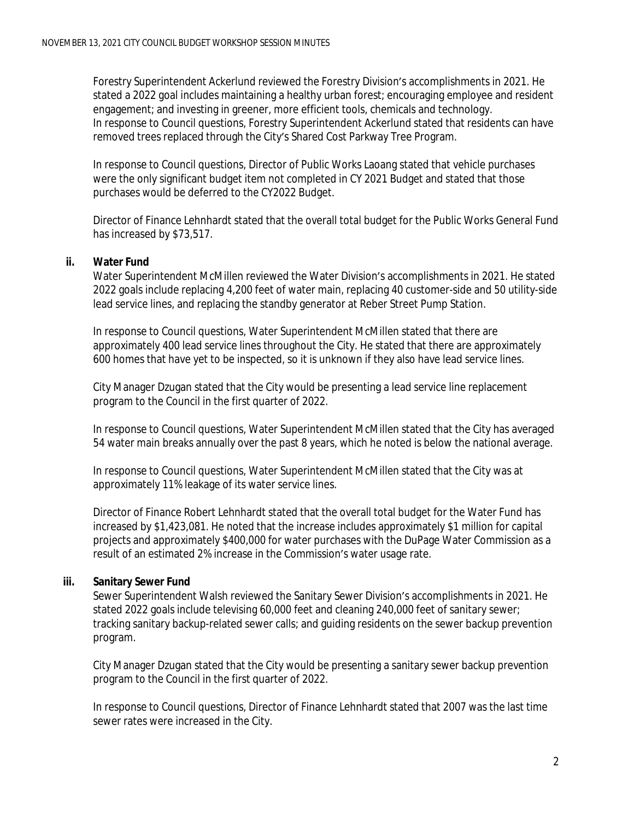Forestry Superintendent Ackerlund reviewed the Forestry Division's accomplishments in 2021. He stated a 2022 goal includes maintaining a healthy urban forest; encouraging employee and resident engagement; and investing in greener, more efficient tools, chemicals and technology. In response to Council questions, Forestry Superintendent Ackerlund stated that residents can have removed trees replaced through the City's Shared Cost Parkway Tree Program.

In response to Council questions, Director of Public Works Laoang stated that vehicle purchases were the only significant budget item not completed in CY 2021 Budget and stated that those purchases would be deferred to the CY2022 Budget.

Director of Finance Lehnhardt stated that the overall total budget for the Public Works General Fund has increased by \$73,517.

## **ii. Water Fund**

Water Superintendent McMillen reviewed the Water Division's accomplishments in 2021. He stated 2022 goals include replacing 4,200 feet of water main, replacing 40 customer-side and 50 utility-side lead service lines, and replacing the standby generator at Reber Street Pump Station.

In response to Council questions, Water Superintendent McMillen stated that there are approximately 400 lead service lines throughout the City. He stated that there are approximately 600 homes that have yet to be inspected, so it is unknown if they also have lead service lines.

City Manager Dzugan stated that the City would be presenting a lead service line replacement program to the Council in the first quarter of 2022.

In response to Council questions, Water Superintendent McMillen stated that the City has averaged 54 water main breaks annually over the past 8 years, which he noted is below the national average.

In response to Council questions, Water Superintendent McMillen stated that the City was at approximately 11% leakage of its water service lines.

Director of Finance Robert Lehnhardt stated that the overall total budget for the Water Fund has increased by \$1,423,081. He noted that the increase includes approximately \$1 million for capital projects and approximately \$400,000 for water purchases with the DuPage Water Commission as a result of an estimated 2% increase in the Commission's water usage rate.

# **iii. Sanitary Sewer Fund**

Sewer Superintendent Walsh reviewed the Sanitary Sewer Division's accomplishments in 2021. He stated 2022 goals include televising 60,000 feet and cleaning 240,000 feet of sanitary sewer; tracking sanitary backup-related sewer calls; and guiding residents on the sewer backup prevention program.

City Manager Dzugan stated that the City would be presenting a sanitary sewer backup prevention program to the Council in the first quarter of 2022.

In response to Council questions, Director of Finance Lehnhardt stated that 2007 was the last time sewer rates were increased in the City.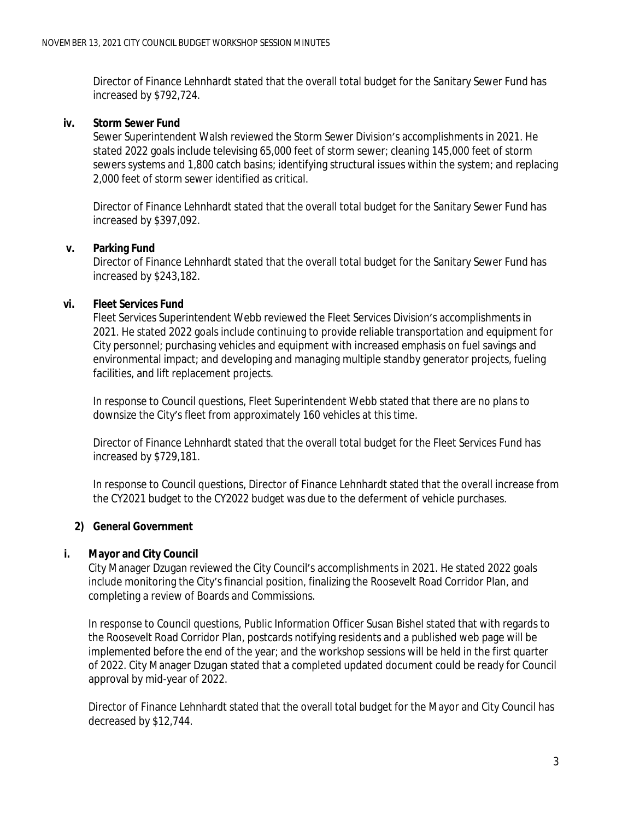Director of Finance Lehnhardt stated that the overall total budget for the Sanitary Sewer Fund has increased by \$792,724.

#### **iv. Storm Sewer Fund**

Sewer Superintendent Walsh reviewed the Storm Sewer Division's accomplishments in 2021. He stated 2022 goals include televising 65,000 feet of storm sewer; cleaning 145,000 feet of storm sewers systems and 1,800 catch basins; identifying structural issues within the system; and replacing 2,000 feet of storm sewer identified as critical.

Director of Finance Lehnhardt stated that the overall total budget for the Sanitary Sewer Fund has increased by \$397,092.

## **v. Parking Fund**

Director of Finance Lehnhardt stated that the overall total budget for the Sanitary Sewer Fund has increased by \$243,182.

## **vi. Fleet Services Fund**

Fleet Services Superintendent Webb reviewed the Fleet Services Division's accomplishments in 2021. He stated 2022 goals include continuing to provide reliable transportation and equipment for City personnel; purchasing vehicles and equipment with increased emphasis on fuel savings and environmental impact; and developing and managing multiple standby generator projects, fueling facilities, and lift replacement projects.

In response to Council questions, Fleet Superintendent Webb stated that there are no plans to downsize the City's fleet from approximately 160 vehicles at this time.

Director of Finance Lehnhardt stated that the overall total budget for the Fleet Services Fund has increased by \$729,181.

In response to Council questions, Director of Finance Lehnhardt stated that the overall increase from the CY2021 budget to the CY2022 budget was due to the deferment of vehicle purchases.

## **2) General Government**

## **i. Mayor and City Council**

City Manager Dzugan reviewed the City Council's accomplishments in 2021. He stated 2022 goals include monitoring the City's financial position, finalizing the Roosevelt Road Corridor Plan, and completing a review of Boards and Commissions.

In response to Council questions, Public Information Officer Susan Bishel stated that with regards to the Roosevelt Road Corridor Plan, postcards notifying residents and a published web page will be implemented before the end of the year; and the workshop sessions will be held in the first quarter of 2022. City Manager Dzugan stated that a completed updated document could be ready for Council approval by mid-year of 2022.

Director of Finance Lehnhardt stated that the overall total budget for the Mayor and City Council has decreased by \$12,744.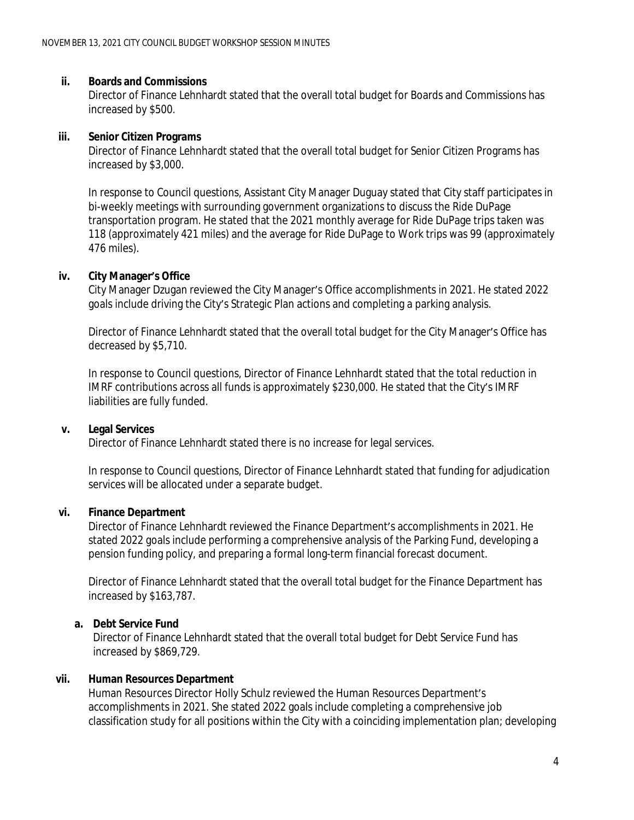#### **ii. Boards and Commissions**

Director of Finance Lehnhardt stated that the overall total budget for Boards and Commissions has increased by \$500.

#### **iii. Senior Citizen Programs**

Director of Finance Lehnhardt stated that the overall total budget for Senior Citizen Programs has increased by \$3,000.

In response to Council questions, Assistant City Manager Duguay stated that City staff participates in bi-weekly meetings with surrounding government organizations to discuss the Ride DuPage transportation program. He stated that the 2021 monthly average for Ride DuPage trips taken was 118 (approximately 421 miles) and the average for Ride DuPage to Work trips was 99 (approximately 476 miles).

#### **iv. City Manager's Office**

City Manager Dzugan reviewed the City Manager's Office accomplishments in 2021. He stated 2022 goals include driving the City's Strategic Plan actions and completing a parking analysis.

Director of Finance Lehnhardt stated that the overall total budget for the City Manager's Office has decreased by \$5,710.

In response to Council questions, Director of Finance Lehnhardt stated that the total reduction in IMRF contributions across all funds is approximately \$230,000. He stated that the City's IMRF liabilities are fully funded.

## **v. Legal Services**

Director of Finance Lehnhardt stated there is no increase for legal services.

In response to Council questions, Director of Finance Lehnhardt stated that funding for adjudication services will be allocated under a separate budget.

## **vi. Finance Department**

Director of Finance Lehnhardt reviewed the Finance Department's accomplishments in 2021. He stated 2022 goals include performing a comprehensive analysis of the Parking Fund, developing a pension funding policy, and preparing a formal long-term financial forecast document.

Director of Finance Lehnhardt stated that the overall total budget for the Finance Department has increased by \$163,787.

## **a. Debt Service Fund**

Director of Finance Lehnhardt stated that the overall total budget for Debt Service Fund has increased by \$869,729.

## **vii. Human Resources Department**

Human Resources Director Holly Schulz reviewed the Human Resources Department's accomplishments in 2021. She stated 2022 goals include completing a comprehensive job classification study for all positions within the City with a coinciding implementation plan; developing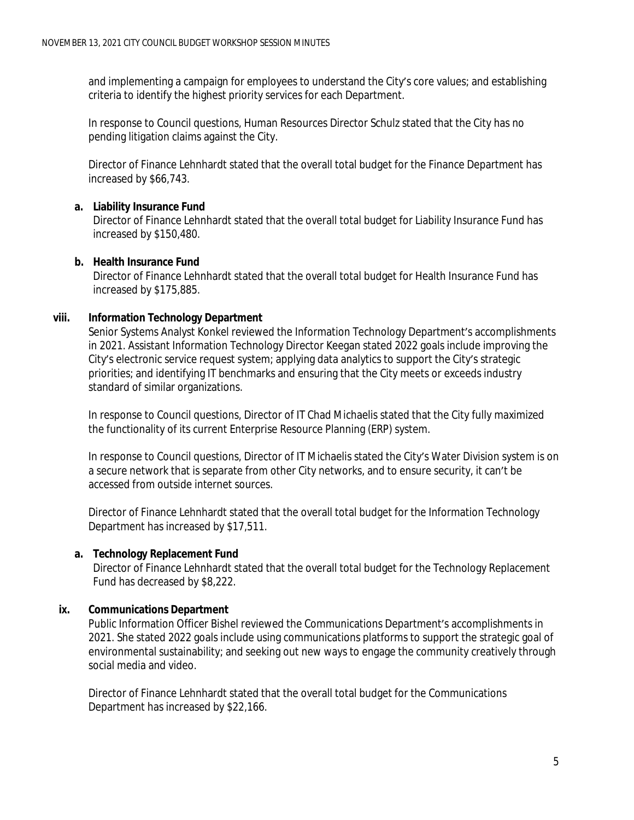and implementing a campaign for employees to understand the City's core values; and establishing criteria to identify the highest priority services for each Department.

In response to Council questions, Human Resources Director Schulz stated that the City has no pending litigation claims against the City.

Director of Finance Lehnhardt stated that the overall total budget for the Finance Department has increased by \$66,743.

# **a. Liability Insurance Fund**

Director of Finance Lehnhardt stated that the overall total budget for Liability Insurance Fund has increased by \$150,480.

# **b. Health Insurance Fund**

Director of Finance Lehnhardt stated that the overall total budget for Health Insurance Fund has increased by \$175,885.

# **viii. Information Technology Department**

Senior Systems Analyst Konkel reviewed the Information Technology Department's accomplishments in 2021. Assistant Information Technology Director Keegan stated 2022 goals include improving the City's electronic service request system; applying data analytics to support the City's strategic priorities; and identifying IT benchmarks and ensuring that the City meets or exceeds industry standard of similar organizations.

In response to Council questions, Director of IT Chad Michaelis stated that the City fully maximized the functionality of its current Enterprise Resource Planning (ERP) system.

In response to Council questions, Director of IT Michaelis stated the City's Water Division system is on a secure network that is separate from other City networks, and to ensure security, it can't be accessed from outside internet sources.

Director of Finance Lehnhardt stated that the overall total budget for the Information Technology Department has increased by \$17,511.

# **a. Technology Replacement Fund**

Director of Finance Lehnhardt stated that the overall total budget for the Technology Replacement Fund has decreased by \$8,222.

# **ix. Communications Department**

Public Information Officer Bishel reviewed the Communications Department's accomplishments in 2021. She stated 2022 goals include using communications platforms to support the strategic goal of environmental sustainability; and seeking out new ways to engage the community creatively through social media and video.

Director of Finance Lehnhardt stated that the overall total budget for the Communications Department has increased by \$22,166.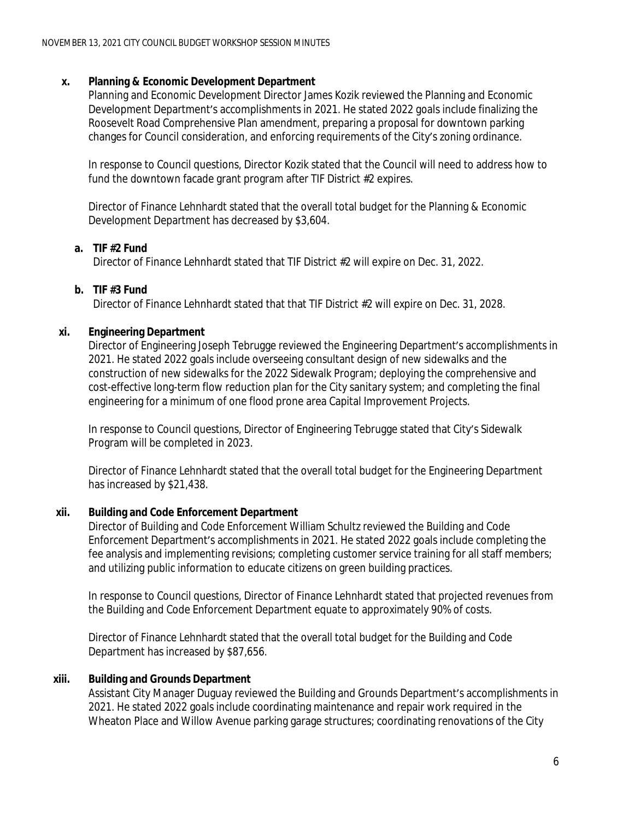#### **x. Planning & Economic Development Department**

Planning and Economic Development Director James Kozik reviewed the Planning and Economic Development Department's accomplishments in 2021. He stated 2022 goals include finalizing the Roosevelt Road Comprehensive Plan amendment, preparing a proposal for downtown parking changes for Council consideration, and enforcing requirements of the City's zoning ordinance.

In response to Council questions, Director Kozik stated that the Council will need to address how to fund the downtown facade grant program after TIF District #2 expires.

Director of Finance Lehnhardt stated that the overall total budget for the Planning & Economic Development Department has decreased by \$3,604.

#### **a. TIF #2 Fund**

Director of Finance Lehnhardt stated that TIF District #2 will expire on Dec. 31, 2022.

#### **b. TIF #3 Fund**

Director of Finance Lehnhardt stated that that TIF District #2 will expire on Dec. 31, 2028.

#### **xi. Engineering Department**

Director of Engineering Joseph Tebrugge reviewed the Engineering Department's accomplishments in 2021. He stated 2022 goals include overseeing consultant design of new sidewalks and the construction of new sidewalks for the 2022 Sidewalk Program; deploying the comprehensive and cost-effective long-term flow reduction plan for the City sanitary system; and completing the final engineering for a minimum of one flood prone area Capital Improvement Projects.

In response to Council questions, Director of Engineering Tebrugge stated that City's Sidewalk Program will be completed in 2023.

Director of Finance Lehnhardt stated that the overall total budget for the Engineering Department has increased by \$21,438.

## **xii. Building and Code Enforcement Department**

Director of Building and Code Enforcement William Schultz reviewed the Building and Code Enforcement Department's accomplishments in 2021. He stated 2022 goals include completing the fee analysis and implementing revisions; completing customer service training for all staff members; and utilizing public information to educate citizens on green building practices.

In response to Council questions, Director of Finance Lehnhardt stated that projected revenues from the Building and Code Enforcement Department equate to approximately 90% of costs.

Director of Finance Lehnhardt stated that the overall total budget for the Building and Code Department has increased by \$87,656.

#### **xiii. Building and Grounds Department**

Assistant City Manager Duguay reviewed the Building and Grounds Department's accomplishments in 2021. He stated 2022 goals include coordinating maintenance and repair work required in the Wheaton Place and Willow Avenue parking garage structures; coordinating renovations of the City